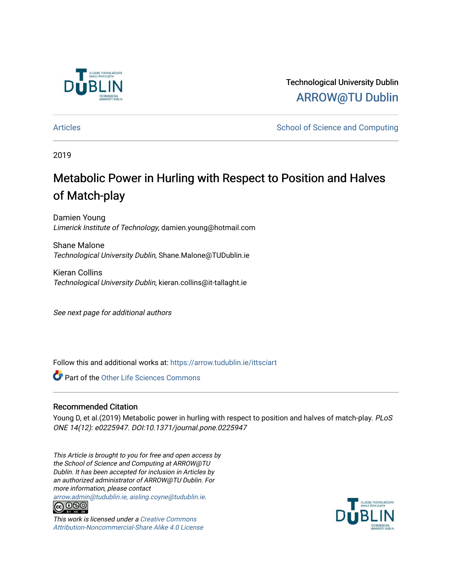

Technological University Dublin [ARROW@TU Dublin](https://arrow.tudublin.ie/) 

[Articles](https://arrow.tudublin.ie/ittsciart) **School of Science and Computing**  $\sim$  School of Science and Computing

2019

# Metabolic Power in Hurling with Respect to Position and Halves of Match-play

Damien Young Limerick Institute of Technology, damien.young@hotmail.com

Shane Malone Technological University Dublin, Shane.Malone@TUDublin.ie

Kieran Collins Technological University Dublin, kieran.collins@it-tallaght.ie

See next page for additional authors

Follow this and additional works at: [https://arrow.tudublin.ie/ittsciart](https://arrow.tudublin.ie/ittsciart?utm_source=arrow.tudublin.ie%2Fittsciart%2F67&utm_medium=PDF&utm_campaign=PDFCoverPages)

Part of the [Other Life Sciences Commons](http://network.bepress.com/hgg/discipline/113?utm_source=arrow.tudublin.ie%2Fittsciart%2F67&utm_medium=PDF&utm_campaign=PDFCoverPages) 

### Recommended Citation

Young D, et al.(2019) Metabolic power in hurling with respect to position and halves of match-play. PLoS ONE 14(12): e0225947. DOI:10.1371/journal.pone.0225947

This Article is brought to you for free and open access by the School of Science and Computing at ARROW@TU Dublin. It has been accepted for inclusion in Articles by an authorized administrator of ARROW@TU Dublin. For more information, please contact

[arrow.admin@tudublin.ie, aisling.coyne@tudublin.ie](mailto:arrow.admin@tudublin.ie,%20aisling.coyne@tudublin.ie).<br> **@** 0©©



This work is licensed under a [Creative Commons](http://creativecommons.org/licenses/by-nc-sa/4.0/) [Attribution-Noncommercial-Share Alike 4.0 License](http://creativecommons.org/licenses/by-nc-sa/4.0/)

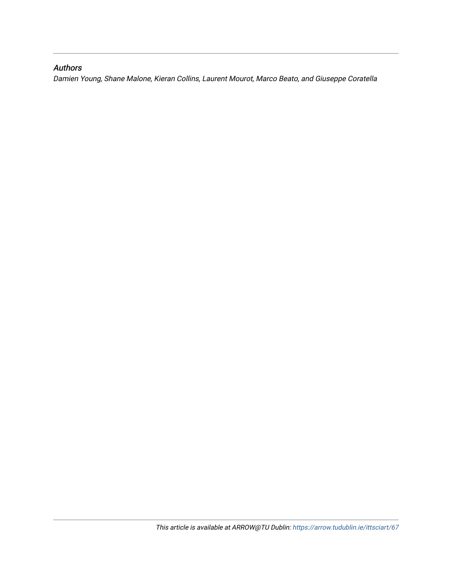### Authors

Damien Young, Shane Malone, Kieran Collins, Laurent Mourot, Marco Beato, and Giuseppe Coratella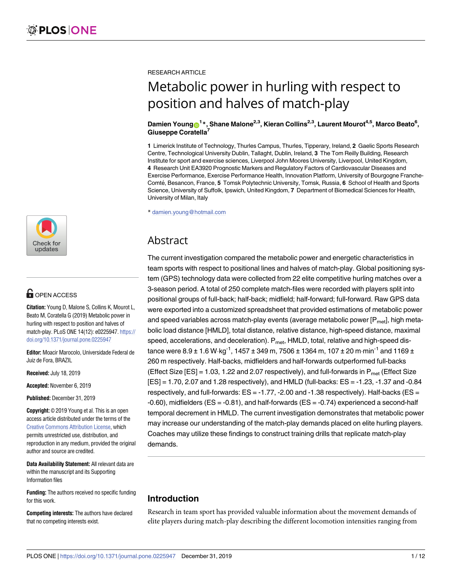

# **G** OPEN ACCESS

**Citation:** Young D, Malone S, Collins K, Mourot L, Beato M, Coratella G (2019) Metabolic power in hurling with respect to position and halves of match-play. PLoS ONE 14(12): e0225947. [https://](https://doi.org/10.1371/journal.pone.0225947) [doi.org/10.1371/journal.pone.0225947](https://doi.org/10.1371/journal.pone.0225947)

**Editor:** Moacir Marocolo, Universidade Federal de Juiz de Fora, BRAZIL

**Received:** July 18, 2019

**Accepted:** November 6, 2019

**Published:** December 31, 2019

**Copyright:** © 2019 Young et al. This is an open access article distributed under the terms of the Creative Commons [Attribution](http://creativecommons.org/licenses/by/4.0/) License, which permits unrestricted use, distribution, and reproduction in any medium, provided the original author and source are credited.

**Data Availability Statement:** All relevant data are within the manuscript and its Supporting Information files

**Funding:** The authors received no specific funding for this work.

**Competing interests:** The authors have declared that no competing interests exist.

RESEARCH ARTICLE

# Metabolic power in hurling with respect to position and halves of match-play

#### $\Delta$ Damien <code>Young $\odot$ <sup>1</sup> $^*$ , Shane Malone<sup>2,3</sup>, Kieran Collins<sup>2,3</sup>, Laurent Mourot<sup>4,5</sup>, Marco Beato<sup>6</sup>,</code> **Giuseppe Coratella7**

**1** Limerick Institute of Technology, Thurles Campus, Thurles, Tipperary, Ireland, **2** Gaelic Sports Research Centre, Technological University Dublin, Tallaght, Dublin, Ireland, **3** The Tom Reilly Building, Research Institute for sport and exercise sciences, Liverpool John Moores University, Liverpool, United Kingdom, **4** Research Unit EA3920 Prognostic Markers and Regulatory Factors of Cardiovascular Diseases and Exercise Performance, Exercise Performance Health, Innovation Platform, University of Bourgogne Franche-Comte´, Besancon, France, **5** Tomsk Polytechnic University, Tomsk, Russia, **6** School of Health and Sports Science, University of Suffolk, Ipswich, United Kingdom, **7** Department of Biomedical Sciences for Health, University of Milan, Italy

\* damien.young@hotmail.com

# Abstract

The current investigation compared the metabolic power and energetic characteristics in team sports with respect to positional lines and halves of match-play. Global positioning system (GPS) technology data were collected from 22 elite competitive hurling matches over a 3-season period. A total of 250 complete match-files were recorded with players split into positional groups of full-back; half-back; midfield; half-forward; full-forward. Raw GPS data were exported into a customized spreadsheet that provided estimations of metabolic power and speed variables across match-play events (average metabolic power  $[P<sub>mel</sub>]$ , high metabolic load distance [HMLD], total distance, relative distance, high-speed distance, maximal speed, accelerations, and deceleration).  $P_{\text{met}}$ , HMLD, total, relative and high-speed distance were  $8.9 \pm 1.6$  W $\cdot$ kg<sup>-1</sup>, 1457  $\pm$  349 m, 7506  $\pm$  1364 m, 107  $\pm$  20 m $\cdot$ min<sup>-1</sup> and 1169  $\pm$ 260 m respectively. Half-backs, midfielders and half-forwards outperformed full-backs (Effect Size  $[ES] = 1.03$ , 1.22 and 2.07 respectively), and full-forwards in  $P_{met}$  (Effect Size [ES] = 1.70, 2.07 and 1.28 respectively), and HMLD (full-backs: ES = -1.23, -1.37 and -0.84 respectively, and full-forwards:  $ES = -1.77, -2.00$  and  $-1.38$  respectively). Half-backs ( $ES =$ -0.60), midfielders (ES = -0.81), and half-forwards (ES = -0.74) experienced a second-half temporal decrement in HMLD. The current investigation demonstrates that metabolic power may increase our understanding of the match-play demands placed on elite hurling players. Coaches may utilize these findings to construct training drills that replicate match-play demands.

## **Introduction**

Research in team sport has provided valuable information about the movement demands of elite players during match-play describing the different locomotion intensities ranging from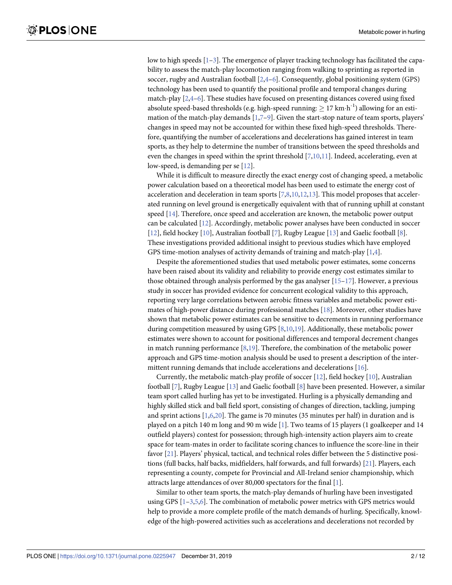<span id="page-3-0"></span>low to high speeds  $[1-3]$  $[1-3]$  $[1-3]$  $[1-3]$  $[1-3]$ . The emergence of player tracking technology has facilitated the capability to assess the match-play locomotion ranging from walking to sprinting as reported in soccer, rugby and Australian football  $[2,4-6]$ . Consequently, global positioning system (GPS) technology has been used to quantify the positional profile and temporal changes during match-play [[2](#page-11-0),[4](#page-11-0)–[6](#page-11-0)]. These studies have focused on presenting distances covered using fixed absolute speed-based thresholds (e.g. high-speed running:  $\geq 17$  km·h<sup>-1</sup>) allowing for an estimation of the match-play demands [1,7-9]. Given the start-stop nature of team sports, players' changes in speed may not be accounted for within these fixed high-speed thresholds. Therefore, quantifying the number of accelerations and decelerations has gained interest in team sports, as they help to determine the number of transitions between the speed thresholds and even the changes in speed within the sprint threshold  $[7,10,11]$  $[7,10,11]$  $[7,10,11]$  $[7,10,11]$ . Indeed, accelerating, even at low-speed, is demanding per se [[12](#page-12-0)].

While it is difficult to measure directly the exact energy cost of changing speed, a metabolic power calculation based on a theoretical model has been used to estimate the energy cost of acceleration and deceleration in team sports  $[7,8,10,12,13]$  $[7,8,10,12,13]$  $[7,8,10,12,13]$  $[7,8,10,12,13]$  $[7,8,10,12,13]$  $[7,8,10,12,13]$  $[7,8,10,12,13]$ . This model proposes that accelerated running on level ground is energetically equivalent with that of running uphill at constant speed [\[14\]](#page-12-0). Therefore, once speed and acceleration are known, the metabolic power output can be calculated [\[12\]](#page-12-0). Accordingly, metabolic power analyses have been conducted in soccer [\[12\]](#page-12-0), field hockey [\[10\]](#page-11-0), Australian football [[7](#page-11-0)], Rugby League [[13](#page-12-0)] and Gaelic football [[8](#page-11-0)]. These investigations provided additional insight to previous studies which have employed GPS time-motion analyses of activity demands of training and match-play [\[1,4\]](#page-11-0).

Despite the aforementioned studies that used metabolic power estimates, some concerns have been raised about its validity and reliability to provide energy cost estimates similar to those obtained through analysis performed by the gas analyser  $[15-17]$ . However, a previous study in soccer has provided evidence for concurrent ecological validity to this approach, reporting very large correlations between aerobic fitness variables and metabolic power estimates of high-power distance during professional matches [[18](#page-12-0)]. Moreover, other studies have shown that metabolic power estimates can be sensitive to decrements in running performance during competition measured by using GPS [\[8,10,](#page-11-0)[19](#page-12-0)]. Additionally, these metabolic power estimates were shown to account for positional differences and temporal decrement changes in match running performance  $[8,19]$  $[8,19]$ . Therefore, the combination of the metabolic power approach and GPS time-motion analysis should be used to present a description of the inter-mittent running demands that include accelerations and decelerations [\[16\]](#page-12-0).

Currently, the metabolic match-play profile of soccer [\[12\]](#page-12-0), field hockey [\[10\]](#page-11-0), Australian football [[7\]](#page-11-0), Rugby League [\[13\]](#page-12-0) and Gaelic football [[8](#page-11-0)] have been presented. However, a similar team sport called hurling has yet to be investigated. Hurling is a physically demanding and highly skilled stick and ball field sport, consisting of changes of direction, tackling, jumping and sprint actions [\[1,6,](#page-11-0)[20\]](#page-12-0). The game is 70 minutes (35 minutes per half) in duration and is played on a pitch 140 m long and 90 m wide [[1\]](#page-11-0). Two teams of 15 players (1 goalkeeper and 14 outfield players) contest for possession; through high-intensity action players aim to create space for team-mates in order to facilitate scoring chances to influence the score-line in their favor [\[21\]](#page-12-0). Players' physical, tactical, and technical roles differ between the 5 distinctive positions (full backs, half backs, midfielders, half forwards, and full forwards) [\[21\]](#page-12-0). Players, each representing a county, compete for Provincial and All-Ireland senior championship, which attracts large attendances of over 80,000 spectators for the final [[1](#page-11-0)].

Similar to other team sports, the match-play demands of hurling have been investigated using GPS [\[1–3,5,6\]](#page-11-0). The combination of metabolic power metrics with GPS metrics would help to provide a more complete profile of the match demands of hurling. Specifically, knowledge of the high-powered activities such as accelerations and decelerations not recorded by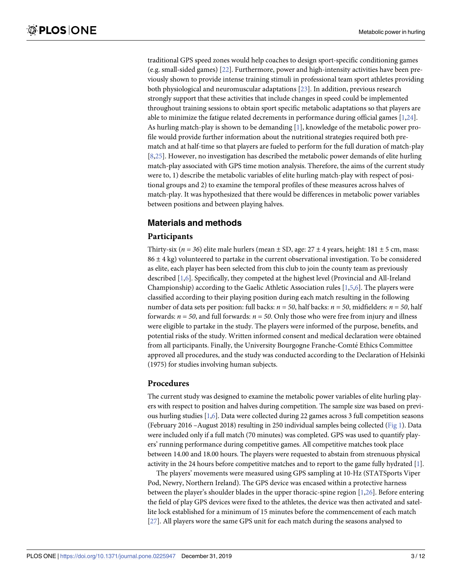<span id="page-4-0"></span>traditional GPS speed zones would help coaches to design sport-specific conditioning games (e.g. small-sided games) [[22](#page-12-0)]. Furthermore, power and high-intensity activities have been previously shown to provide intense training stimuli in professional team sport athletes providing both physiological and neuromuscular adaptations [\[23\]](#page-12-0). In addition, previous research strongly support that these activities that include changes in speed could be implemented throughout training sessions to obtain sport specific metabolic adaptations so that players are able to minimize the fatigue related decrements in performance during official games [[1,](#page-11-0)[24](#page-12-0)]. As hurling match-play is shown to be demanding [[1](#page-11-0)], knowledge of the metabolic power profile would provide further information about the nutritional strategies required both prematch and at half-time so that players are fueled to perform for the full duration of match-play [\[8](#page-11-0)[,25\]](#page-12-0). However, no investigation has described the metabolic power demands of elite hurling match-play associated with GPS time motion analysis. Therefore, the aims of the current study were to, 1) describe the metabolic variables of elite hurling match-play with respect of positional groups and 2) to examine the temporal profiles of these measures across halves of match-play. It was hypothesized that there would be differences in metabolic power variables between positions and between playing halves.

### **Materials and methods**

#### **Participants**

Thirty-six ( $n = 36$ ) elite male hurlers (mean  $\pm$  SD, age: 27  $\pm$  4 years, height: 181  $\pm$  5 cm, mass:  $86 \pm 4$  kg) volunteered to partake in the current observational investigation. To be considered as elite, each player has been selected from this club to join the county team as previously described [[1,6\]](#page-11-0). Specifically, they competed at the highest level (Provincial and All-Ireland Championship) according to the Gaelic Athletic Association rules  $[1,5,6]$  $[1,5,6]$ . The players were classified according to their playing position during each match resulting in the following number of data sets per position: full backs:  $n = 50$ , half backs:  $n = 50$ , midfielders:  $n = 50$ , half forwards:  $n = 50$ , and full forwards:  $n = 50$ . Only those who were free from injury and illness were eligible to partake in the study. The players were informed of the purpose, benefits, and potential risks of the study. Written informed consent and medical declaration were obtained from all participants. Finally, the University Bourgogne Franche-Comté Ethics Committee approved all procedures, and the study was conducted according to the Declaration of Helsinki (1975) for studies involving human subjects.

#### **Procedures**

The current study was designed to examine the metabolic power variables of elite hurling players with respect to position and halves during competition. The sample size was based on previous hurling studies [\[1,6\]](#page-11-0). Data were collected during 22 games across 3 full competition seasons (February 2016 –August 2018) resulting in 250 individual samples being collected [\(Fig](#page-5-0) 1). Data were included only if a full match (70 minutes) was completed. GPS was used to quantify players' running performance during competitive games. All competitive matches took place between 14.00 and 18.00 hours. The players were requested to abstain from strenuous physical activity in the 24 hours before competitive matches and to report to the game fully hydrated [\[1](#page-11-0)].

The players' movements were measured using GPS sampling at 10-Hz (STATSports Viper Pod, Newry, Northern Ireland). The GPS device was encased within a protective harness between the player's shoulder blades in the upper thoracic-spine region [\[1](#page-11-0)[,26\]](#page-12-0). Before entering the field of play GPS devices were fixed to the athletes, the device was then activated and satellite lock established for a minimum of 15 minutes before the commencement of each match [\[27\]](#page-12-0). All players wore the same GPS unit for each match during the seasons analysed to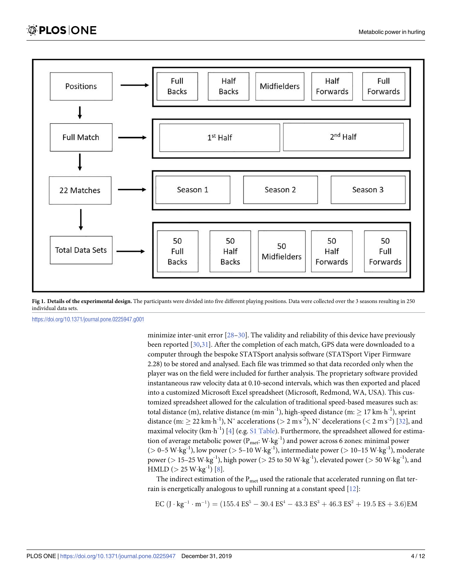<span id="page-5-0"></span>

**[Fig](#page-4-0) 1. Details of the experimental design.** The participants were divided into five different playing positions. Data were collected over the 3 seasons resulting in 250 individual data sets.

<https://doi.org/10.1371/journal.pone.0225947.g001>

minimize inter-unit error [[28–30\]](#page-12-0). The validity and reliability of this device have previously been reported [\[30,31\]](#page-12-0). After the completion of each match, GPS data were downloaded to a computer through the bespoke STATSport analysis software (STATSport Viper Firmware 2.28) to be stored and analysed. Each file was trimmed so that data recorded only when the player was on the field were included for further analysis. The proprietary software provided instantaneous raw velocity data at 0.10-second intervals, which was then exported and placed into a customized Microsoft Excel spreadsheet (Microsoft, Redmond, WA, USA). This customized spreadsheet allowed for the calculation of traditional speed-based measures such as: total distance (m), relative distance (m·min<sup>-1</sup>), high-speed distance (m:  $\geq 17$  km·h<sup>-1</sup>), sprint distance (m:  $\geq$  22 km·h<sup>-1</sup>), N° accelerations ( $>$  2 m $\vert$ s<sup>-2</sup>), N° decelerations ( $<$  2 m $\vert$ s<sup>-2</sup>) [\[32\]](#page-12-0), and maximal velocity  $(km\cdot h^{-1})$  [\[4](#page-11-0)] (e.g. S1 [Table\)](#page-11-0). Furthermore, the spreadsheet allowed for estimation of average metabolic power  $(P_{met}: W \cdot kg^{-1})$  and power across 6 zones: minimal power (*>* 0–5 W�kg-1), low power (*>* 5–10 W�kg-1), intermediate power (*>* 10–15 W�kg-1), moderate power (*>* 15–25 W�kg-1), high power (*>* 25 to 50 W�kg-1), elevated power (*>* 50 W�kg-1), and HMLD ( $> 25$  W $\cdot$ kg<sup>-1</sup>) [[8](#page-11-0)].

The indirect estimation of the  $P<sub>met</sub>$  used the rationale that accelerated running on flat terrain is energetically analogous to uphill running at a constant speed [\[12\]](#page-12-0):

 $\text{EC} (\text{J} \cdot \text{kg}^{-1} \cdot \text{m}^{-1}) = (155.4 \text{ ES}^5 - 30.4 \text{ ES}^4 - 43.3 \text{ ES}^3 + 46.3 \text{ ES}^2 + 19.5 \text{ ES} + 3.6)\text{EM}$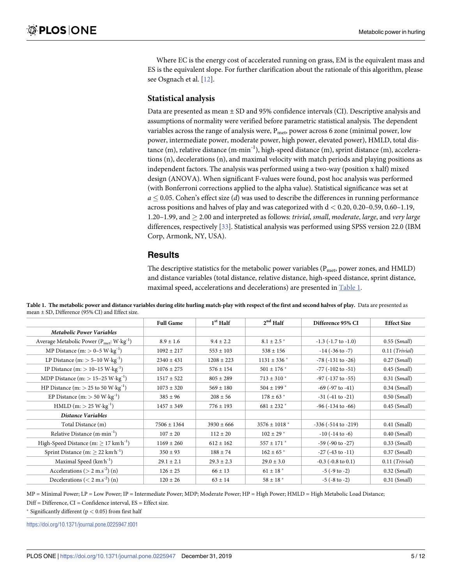<span id="page-6-0"></span>Where EC is the energy cost of accelerated running on grass, EM is the equivalent mass and ES is the equivalent slope. For further clarification about the rationale of this algorithm, please see Osgnach et al. [[12](#page-12-0)].

#### **Statistical analysis**

Data are presented as mean ± SD and 95% confidence intervals (CI). Descriptive analysis and assumptions of normality were verified before parametric statistical analysis. The dependent variables across the range of analysis were,  $P_{\text{met}}$ , power across 6 zone (minimal power, low power, intermediate power, moderate power, high power, elevated power), HMLD, total distance (m), relative distance  $(m·min^{-1})$ , high-speed distance  $(m)$ , sprint distance  $(m)$ , accelerations (n), decelerations (n), and maximal velocity with match periods and playing positions as independent factors. The analysis was performed using a two-way (position x half) mixed design (ANOVA). When significant F-values were found, post hoc analysis was performed (with Bonferroni corrections applied to the alpha value). Statistical significance was set at  $a \leq 0.05$ . Cohen's effect size (*d*) was used to describe the differences in running performance across positions and halves of play and was categorized with d *<* 0.20, 0.20–0.59, 0.60–1.19, 1.20–1.99, and � 2.00 and interpreted as follows: *trivial*, *small*, *moderate*, *large*, and *very large* differences, respectively [\[33\]](#page-12-0). Statistical analysis was performed using SPSS version 22.0 (IBM Corp, Armonk, NY, USA).

#### **Results**

The descriptive statistics for the metabolic power variables ( $P_{\text{met}}$  power zones, and  $HMLD$ ) and distance variables (total distance, relative distance, high-speed distance, sprint distance, maximal speed, accelerations and decelerations) are presented in Table 1.

|                                                                           | <b>Full Game</b> | $1st$ Half     | $2nd$ Half                   | Difference 95% CI               | <b>Effect Size</b>        |
|---------------------------------------------------------------------------|------------------|----------------|------------------------------|---------------------------------|---------------------------|
| <b>Metabolic Power Variables</b>                                          |                  |                |                              |                                 |                           |
| Average Metabolic Power ( $P_{\text{met}}$ : W $\cdot$ kg <sup>-1</sup> ) | $8.9 \pm 1.6$    | $9.4 \pm 2.2$  | $8.1 \pm 2.5$ *              | $-1.3$ ( $-1.7$ to $-1.0$ )     | $0.55$ (Small)            |
| MP Distance $(m: > 0-5 \text{ W} \cdot \text{kg}^{-1})$                   | $1092 \pm 217$   | $553 \pm 103$  | $538 \pm 156$                | $-14$ ( $-36$ to $-7$ )         | $0.11$ (Trivial)          |
| LP Distance $(m: > 5-10 W \cdot kg^{-1})$                                 | $2340 \pm 431$   | $1208 \pm 223$ | $1131 \pm 336$ *             | $-78$ ( $-131$ to $-26$ )       | $0.27$ (Small)            |
| IP Distance $(m:$ > 10–15 $W \cdot kg^{-1}$ )                             | $1076 \pm 275$   | $576 \pm 154$  | $501 \pm 176$ *              | $-77$ ( $-102$ to $-51$ )       | $0.45$ (Small)            |
| MDP Distance $(m:$ > 15–25 W $\cdot$ kg <sup>-1</sup> )                   | $1517 \pm 522$   | $805 \pm 289$  | $713 \pm 310$ *              | $-97$ ( $-137$ to $-55$ )       | $0.31$ (Small)            |
| HP Distance (m: $> 25$ to 50 W $\cdot$ kg <sup>-1</sup> )                 | $1073 \pm 320$   | $569 \pm 180$  | $504 \pm 199$ *              | $-69$ ( $-97$ to $-41$ )        | $0.34$ (Small)            |
| EP Distance $(m:$ > 50 W $\cdot$ kg <sup>-1</sup> )                       | $385 \pm 96$     | $208 \pm 56$   | $178 \pm 63$ *               | $-31$ ( $-41$ to $-21$ )        | $0.50$ (Small)            |
| $HMLD$ (m: $> 25$ W $\cdot$ kg <sup>-1</sup> )                            | $1457 \pm 349$   | $776 \pm 193$  | $681 \pm 232$ *              | $-96$ ( $-134$ to $-66$ )       | $0.45$ (Small)            |
| Distance Variables                                                        |                  |                |                              |                                 |                           |
| Total Distance (m)                                                        | $7506 \pm 1364$  | $3930 \pm 666$ | $3576 \pm 1018$ <sup>*</sup> | $-336$ ( $-514$ to $-219$ )     | $0.41$ (Small)            |
| Relative Distance $(m \cdot min^{-1})$                                    | $107 \pm 20$     | $112 \pm 20$   | $102 \pm 29$ *               | $-10$ ( $-14$ to $-6$ )         | $0.40$ (Small)            |
| High-Speed Distance $(m:$ > 17 km $h^{-1}$ )                              | $1169 \pm 260$   | $612 \pm 162$  | $557 \pm 171$ *              | $-59$ ( $-90$ to $-27$ )        | $0.33$ (Small)            |
| Sprint Distance (m: $\geq$ 22 km <sup>-1</sup> )                          | $350 \pm 93$     | $188 \pm 74$   | $162 \pm 65$ *               | $-27$ ( $-43$ to $-11$ )        | $0.37$ (Small)            |
| Maximal Speed $(km'h^{-1})$                                               | $29.1 \pm 2.1$   | $29.3 \pm 2.3$ | $29.0 \pm 3.0$               | $-0.3$ $(-0.8 \text{ to } 0.1)$ | $0.11$ ( <i>Trivial</i> ) |
| Accelerations ( $> 2$ m.s <sup>-2</sup> ) (n)                             | $126 \pm 25$     | $66 \pm 13$    | $61 \pm 18$ *                | $-5$ ( $-9$ to $-2$ )           | $0.32$ (Small)            |
| Decelerations $(< 2 \text{ m.s}^{-2})$ (n)                                | $120 \pm 26$     | $63 \pm 14$    | $58 \pm 18$ $^*$             | $-5$ ( $-8$ to $-2$ )           | $0.31$ (Small)            |

Table 1. The metabolic power and distance variables during elite hurling match-play with respect of the first and second halves of play. Data are presented as mean ± SD, Difference (95% CI) and Effect size.

MP = Minimal Power; LP = Low Power; IP = Intermediate Power; MDP; Moderate Power; HP = High Power; HMLD = High Metabolic Load Distance;

Diff = Difference, CI = Confidence interval, ES = Effect size.

� Significantly different (p *<* 0.05) from first half

<https://doi.org/10.1371/journal.pone.0225947.t001>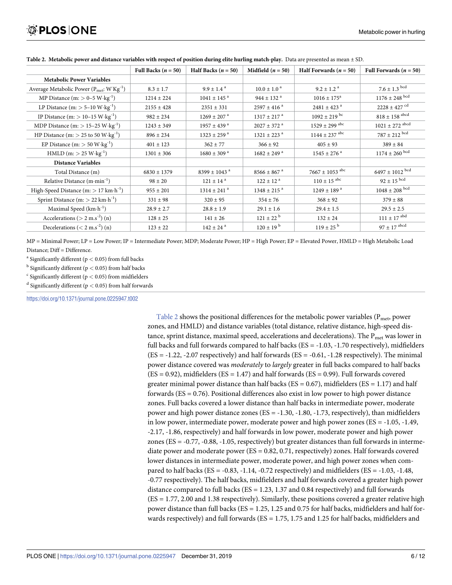|                                                             | Full Backs ( $n = 50$ ) | Half Backs $(n = 50)$        | Midfield $(n = 50)$         | Half Forwards $(n = 50)$    | Full Forwards $(n = 50)$     |
|-------------------------------------------------------------|-------------------------|------------------------------|-----------------------------|-----------------------------|------------------------------|
| <b>Metabolic Power Variables</b>                            |                         |                              |                             |                             |                              |
| Average Metabolic Power ( $P_{met}$ : W' $Kg^{-1}$ )        | $8.3 \pm 1.7$           | $9.9 \pm 1.4^{\text{a}}$     | $10.0 \pm 1.0^{\circ}$      | $9.2 \pm 1.2$ <sup>a</sup>  | $7.6 \pm 1.3$ $^{\rm{bcd}}$  |
| MP Distance $(m: > 0-5 \text{ W} \cdot \text{kg}^{-1})$     | $1214 \pm 224$          | $1041 \pm 145$ <sup>a</sup>  | $944 \pm 132$ <sup>a</sup>  | $1016 \pm 175^{\circ}$      | $1176 \pm 248$ $^{\rm bcd}$  |
| LP Distance $(m:$ > 5–10 $W \cdot kg^{-1}$ )                | $2155 \pm 428$          | $2351 \pm 331$               | $2597 \pm 416$ <sup>a</sup> | $2481 \pm 423$ <sup>a</sup> | $2228 \pm 427$ $^{\rm cd}$   |
| IP Distance $(m:$ > 10-15 $W \cdot kg^{-1}$ )               | $982 \pm 234$           | $1269 \pm 207$ <sup>a</sup>  | $1317 \pm 217$ <sup>a</sup> | $1092 \pm 219$ bc           | $818 \pm 158$ $^{\rm abcd}$  |
| MDP Distance $(m:$ > 15–25 $W \cdot kg^{-1}$ )              | $1243 \pm 349$          | $1957 \pm 439$ <sup>a</sup>  | $2027 \pm 372$ <sup>a</sup> | $1529 \pm 299$ abc          | $1021 \pm 272$ $^{\rm abcd}$ |
| HP Distance (m: $> 25$ to 50 W $\cdot$ kg <sup>-1</sup> )   | $896 \pm 234$           | $1323 \pm 259$ <sup>a</sup>  | $1321 \pm 223$ <sup>a</sup> | $1144 \pm 237$ abc          | $787 \pm 212$ $^{\rm bcd}$   |
| EP Distance $(m:$ > 50 $W \cdot kg^{-1}$ )                  | $401 \pm 123$           | $362 \pm 77$                 | $366 \pm 92$                | $405 \pm 93$                | $389 \pm 84$                 |
| $HMLD$ (m: $> 25$ W $\cdot$ kg <sup>-1</sup> )              | $1301 \pm 306$          | $1680 \pm 309$ <sup>a</sup>  | $1682 \pm 249$ <sup>a</sup> | $1545 \pm 276$ <sup>a</sup> | $1174 \pm 260$ bcd           |
| <b>Distance Variables</b>                                   |                         |                              |                             |                             |                              |
| Total Distance (m)                                          | $6830 \pm 1379$         | $8399 \pm 1043$ <sup>a</sup> | $8566 \pm 867$ <sup>a</sup> | $7667 \pm 1053$ abc         | $6497 \pm 1012$ $^{\rm bcd}$ |
| Relative Distance $(m \cdot min^{-1})$                      | $98 \pm 20$             | $121 \pm 14$ <sup>a</sup>    | $122 \pm 12^{a}$            | $110 \pm 15$ abc            | $92\pm15$ $^{\rm bcd}$       |
| High-Speed Distance $(m:$ > 17 km $\cdot$ h <sup>-1</sup> ) | $955 \pm 201$           | $1314 \pm 241$ <sup>a</sup>  | $1348 \pm 215$ <sup>a</sup> | $1249 \pm 189$ <sup>a</sup> | $1048 \pm 208$ $^{\rm bcd}$  |
| Sprint Distance $(m:$ > 22 km $\cdot$ h <sup>-1</sup> )     | $331 \pm 98$            | $320 \pm 95$                 | $354 \pm 76$                | $368 \pm 92$                | $379 \pm 88$                 |
| Maximal Speed $(km \cdot h^{-1})$                           | $28.9 \pm 2.7$          | $28.8 \pm 1.9$               | $29.1 \pm 1.6$              | $29.4 \pm 1.5$              | $29.5 \pm 2.5$               |
| Accelerations ( $> 2$ m.s <sup>-2</sup> ) (n)               | $128 \pm 25$            | $141 \pm 26$                 | $121 \pm 22^{\mathrm{b}}$   | $132 \pm 24$                | $111 \pm 17$ $^{\rm abd}$    |
| Decelerations ( $<$ 2 m.s <sup>-2</sup> ) (n)               | $123 \pm 22$            | $142 \pm 24$ <sup>a</sup>    | $120 \pm 19^{b}$            | $119 \pm 25^{\mathrm{b}}$   | $97 \pm 17$ $^{\rm abcd}$    |

Table 2. Metabolic power and distance variables with respect of position during elite hurling match-play. Data are presented as mean  $\pm$  SD.

MP = Minimal Power; LP = Low Power; IP = Intermediate Power; MDP; Moderate Power; HP = High Power; EP = Elevated Power, HMLD = High Metabolic Load Distance: Diff = Difference.

<sup>a</sup> Significantly different (p *<* 0.05) from full backs

<sup>b</sup> Significantly different (p *<* 0.05) from half backs

<sup>c</sup> Significantly different (p *<* 0.05) from midfielders

<sup>d</sup> Significantly different (p *<* 0.05) from half forwards

<https://doi.org/10.1371/journal.pone.0225947.t002>

Table 2 shows the positional differences for the metabolic power variables ( $P_{\text{met}}$  power zones, and HMLD) and distance variables (total distance, relative distance, high-speed distance, sprint distance, maximal speed, accelerations and decelerations). The  $P_{met}$  was lower in full backs and full forwards compared to half backs (ES = -1.03, -1.70 respectively), midfielders  $(ES = -1.22, -2.07$  respectively) and half forwards  $(ES = -0.61, -1.28$  respectively). The minimal power distance covered was *moderately* to *largely* greater in full backs compared to half backs  $(ES = 0.92)$ , midfielders  $(ES = 1.47)$  and half forwards  $(ES = 0.99)$ . Full forwards covered greater minimal power distance than half backs ( $ES = 0.67$ ), midfielders ( $ES = 1.17$ ) and half forwards ( $ES = 0.76$ ). Positional differences also exist in low power to high power distance zones. Full backs covered a lower distance than half backs in intermediate power, moderate power and high power distance zones ( $ES = -1.30, -1.80, -1.73$ , respectively), than midfielders in low power, intermediate power, moderate power and high power zones (ES = -1.05, -1.49, -2.17, -1.86, respectively) and half forwards in low power, moderate power and high power zones (ES = -0.77, -0.88, -1.05, respectively) but greater distances than full forwards in intermediate power and moderate power (ES = 0.82, 0.71, respectively) zones. Half forwards covered lower distances in intermediate power, moderate power, and high power zones when compared to half backs ( $ES = -0.83, -1.14, -0.72$  respectively) and midfielders ( $ES = -1.03, -1.48$ , -0.77 respectively). The half backs, midfielders and half forwards covered a greater high power distance compared to full backs ( $ES = 1.23$ , 1.37 and 0.84 respectively) and full forwards (ES = 1.77, 2.00 and 1.38 respectively). Similarly, these positions covered a greater relative high power distance than full backs (ES = 1.25, 1.25 and 0.75 for half backs, midfielders and half forwards respectively) and full forwards (ES = 1.75, 1.75 and 1.25 for half backs, midfielders and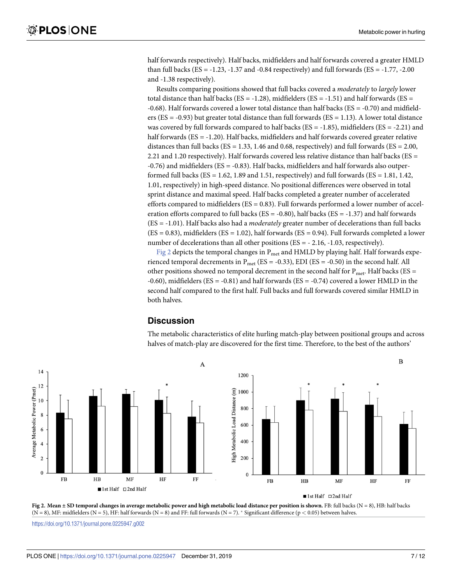half forwards respectively). Half backs, midfielders and half forwards covered a greater HMLD than full backs ( $ES = -1.23$ ,  $-1.37$  and  $-0.84$  respectively) and full forwards ( $ES = -1.77$ ,  $-2.00$ and -1.38 respectively).

Results comparing positions showed that full backs covered a *moderately* to *largely* lower total distance than half backs ( $ES = -1.28$ ), midfielders ( $ES = -1.51$ ) and half forwards ( $ES =$ -0.68). Half forwards covered a lower total distance than half backs (ES = -0.70) and midfielders (ES = -0.93) but greater total distance than full forwards (ES = 1.13). A lower total distance was covered by full forwards compared to half backs ( $ES = -1.85$ ), midfielders ( $ES = -2.21$ ) and half forwards (ES = -1.20). Half backs, midfielders and half forwards covered greater relative distances than full backs (ES = 1.33, 1.46 and 0.68, respectively) and full forwards (ES =  $2.00$ , 2.21 and 1.20 respectively). Half forwards covered less relative distance than half backs ( $ES =$ -0.76) and midfielders (ES = -0.83). Half backs, midfielders and half forwards also outperformed full backs ( $ES = 1.62$ , 1.89 and 1.51, respectively) and full forwards ( $ES = 1.81$ , 1.42, 1.01, respectively) in high-speed distance. No positional differences were observed in total sprint distance and maximal speed. Half backs completed a greater number of accelerated efforts compared to midfielders ( $ES = 0.83$ ). Full forwards performed a lower number of acceleration efforts compared to full backs ( $ES = -0.80$ ), half backs ( $ES = -1.37$ ) and half forwards (ES = -1.01). Half backs also had a *moderately* greater number of decelerations than full backs  $(ES = 0.83)$ , midfielders  $(ES = 1.02)$ , half forwards  $(ES = 0.94)$ . Full forwards completed a lower number of decelerations than all other positions (ES = - 2.16, -1.03, respectively).

Fig 2 depicts the temporal changes in  $P_{met}$  and HMLD by playing half. Half forwards experienced temporal decrements in  $P_{met}$  (ES = -0.33), EDI (ES = -0.50) in the second half. All other positions showed no temporal decrement in the second half for  $P_{met}$ . Half backs (ES = -0.60), midfielders (ES = -0.81) and half forwards (ES = -0.74) covered a lower HMLD in the second half compared to the first half. Full backs and full forwards covered similar HMLD in both halves.

#### **Discussion**

The metabolic characteristics of elite hurling match-play between positional groups and across halves of match-play are discovered for the first time. Therefore, to the best of the authors'





<https://doi.org/10.1371/journal.pone.0225947.g002>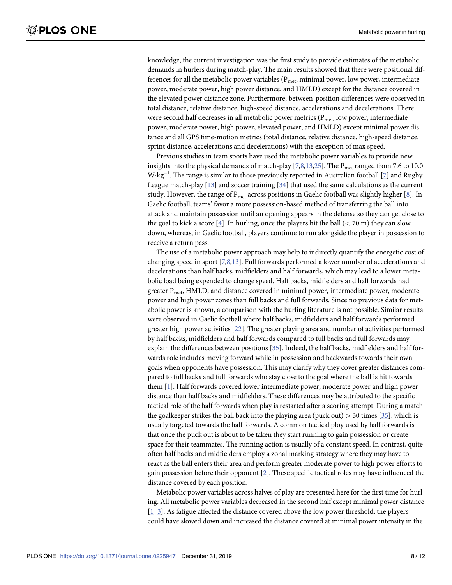<span id="page-9-0"></span>knowledge, the current investigation was the first study to provide estimates of the metabolic demands in hurlers during match-play. The main results showed that there were positional differences for all the metabolic power variables ( $P_{\text{met}}$ , minimal power, low power, intermediate power, moderate power, high power distance, and HMLD) except for the distance covered in the elevated power distance zone. Furthermore, between-position differences were observed in total distance, relative distance, high-speed distance, accelerations and decelerations. There were second half decreases in all metabolic power metrics ( $P_{\text{met}}$ , low power, intermediate power, moderate power, high power, elevated power, and HMLD) except minimal power distance and all GPS time-motion metrics (total distance, relative distance, high-speed distance, sprint distance, accelerations and decelerations) with the exception of max speed.

Previous studies in team sports have used the metabolic power variables to provide new insights into the physical demands of match-play  $[7,8,13,25]$  $[7,8,13,25]$ . The  $P_{met}$  ranged from 7.6 to 10.0 W kg<sup>-1</sup>. The range is similar to those previously reported in Australian football [\[7\]](#page-11-0) and Rugby League match-play  $[13]$  $[13]$  $[13]$  and soccer training  $[34]$  that used the same calculations as the current study. However, the range of  $P_{met}$  across positions in Gaelic football was slightly higher [\[8](#page-11-0)]. In Gaelic football, teams' favor a more possession-based method of transferring the ball into attack and maintain possession until an opening appears in the defense so they can get close to the goal to kick a score [[4](#page-11-0)]. In hurling, once the players hit the ball  $(< 70 \text{ m})$  they can slow down, whereas, in Gaelic football, players continue to run alongside the player in possession to receive a return pass.

The use of a metabolic power approach may help to indirectly quantify the energetic cost of changing speed in sport [\[7,8](#page-11-0)[,13\]](#page-12-0). Full forwards performed a lower number of accelerations and decelerations than half backs, midfielders and half forwards, which may lead to a lower metabolic load being expended to change speed. Half backs, midfielders and half forwards had greater  $P_{\text{met}}$ , HMLD, and distance covered in minimal power, intermediate power, moderate power and high power zones than full backs and full forwards. Since no previous data for metabolic power is known, a comparison with the hurling literature is not possible. Similar results were observed in Gaelic football where half backs, midfielders and half forwards performed greater high power activities [[22](#page-12-0)]. The greater playing area and number of activities performed by half backs, midfielders and half forwards compared to full backs and full forwards may explain the differences between positions [[35](#page-13-0)]. Indeed, the half backs, midfielders and half forwards role includes moving forward while in possession and backwards towards their own goals when opponents have possession. This may clarify why they cover greater distances compared to full backs and full forwards who stay close to the goal where the ball is hit towards them [\[1](#page-11-0)]. Half forwards covered lower intermediate power, moderate power and high power distance than half backs and midfielders. These differences may be attributed to the specific tactical role of the half forwards when play is restarted after a scoring attempt. During a match the goalkeeper strikes the ball back into the playing area (puck out) *>* 30 times [[35](#page-13-0)], which is usually targeted towards the half forwards. A common tactical ploy used by half forwards is that once the puck out is about to be taken they start running to gain possession or create space for their teammates. The running action is usually of a constant speed. In contrast, quite often half backs and midfielders employ a zonal marking strategy where they may have to react as the ball enters their area and perform greater moderate power to high power efforts to gain possession before their opponent [\[2](#page-11-0)]. These specific tactical roles may have influenced the distance covered by each position.

Metabolic power variables across halves of play are presented here for the first time for hurling. All metabolic power variables decreased in the second half except minimal power distance  $[1-3]$ . As fatigue affected the distance covered above the low power threshold, the players could have slowed down and increased the distance covered at minimal power intensity in the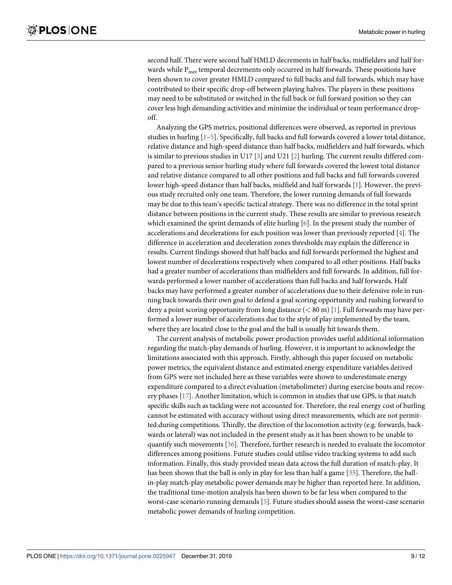<span id="page-10-0"></span>second half. There were second half HMLD decrements in half backs, midfielders and half forwards while  $P<sub>met</sub>$  temporal decrements only occurred in half forwards. These positions have been shown to cover greater HMLD compared to full backs and full forwards, which may have contributed to their specific drop-off between playing halves. The players in these positions may need to be substituted or switched in the full back or full forward position so they can cover less high demanding activities and minimize the individual or team performance dropoff.

Analyzing the GPS metrics, positional differences were observed, as reported in previous studies in hurling [\[1–5\]](#page-11-0). Specifically, full backs and full forwards covered a lower total distance, relative distance and high-speed distance than half backs, midfielders and half forwards, which is similar to previous studies in U17  $\lceil 3 \rceil$  and U21  $\lceil 2 \rceil$  hurling. The current results differed compared to a previous senior hurling study where full forwards covered the lowest total distance and relative distance compared to all other positions and full backs and full forwards covered lower high-speed distance than half backs, midfield and half forwards [\[1\]](#page-11-0). However, the previous study recruited only one team. Therefore, the lower running demands of full forwards may be due to this team's specific tactical strategy. There was no difference in the total sprint distance between positions in the current study. These results are similar to previous research which examined the sprint demands of elite hurling  $[6]$ . In the present study the number of accelerations and decelerations for each position was lower than previously reported [\[4](#page-11-0)]. The difference in acceleration and deceleration zones thresholds may explain the difference in results. Current findings showed that half backs and full forwards performed the highest and lowest number of decelerations respectively when compared to all other positions. Half backs had a greater number of accelerations than midfielders and full forwards. In addition, full forwards performed a lower number of accelerations than full backs and half forwards. Half backs may have performed a greater number of accelerations due to their defensive role in running back towards their own goal to defend a goal scoring opportunity and rushing forward to deny a point scoring opportunity from long distance (*<* 80 m) [\[1\]](#page-11-0). Full forwards may have performed a lower number of accelerations due to the style of play implemented by the team, where they are located close to the goal and the ball is usually hit towards them.

The current analysis of metabolic power production provides useful additional information regarding the match-play demands of hurling. However, it is important to acknowledge the limitations associated with this approach. Firstly, although this paper focused on metabolic power metrics, the equivalent distance and estimated energy expenditure variables derived from GPS were not included here as these variables were shown to underestimate energy expenditure compared to a direct evaluation (metabolimeter) during exercise bouts and recovery phases [[17](#page-12-0)]. Another limitation, which is common in studies that use GPS, is that match specific skills such as tackling were not accounted for. Therefore, the real energy cost of hurling cannot be estimated with accuracy without using direct measurements, which are not permitted during competitions. Thirdly, the direction of the locomotion activity (e.g. forwards, backwards or lateral) was not included in the present study as it has been shown to be unable to quantify such movements [\[36\]](#page-13-0). Therefore, further research is needed to evaluate the locomotor differences among positions. Future studies could utilise video tracking systems to add such information. Finally, this study provided mean data across the full duration of match-play. It has been shown that the ball is only in play for less than half a game [\[35\]](#page-13-0). Therefore, the ballin-play match-play metabolic power demands may be higher than reported here. In addition, the traditional time-motion analysis has been shown to be far less when compared to the worst-case scenario running demands [[5\]](#page-11-0). Future studies should assess the worst-case scenario metabolic power demands of hurling competition.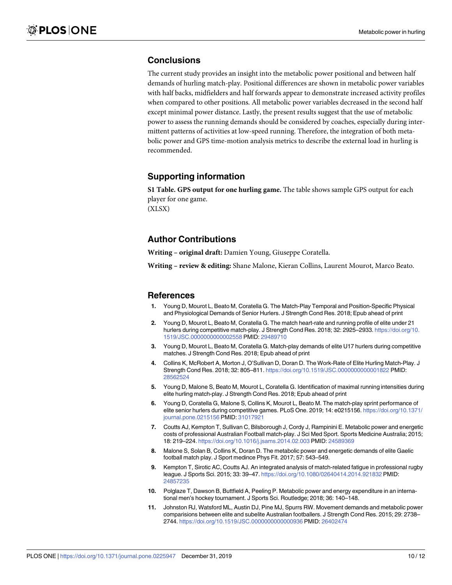### <span id="page-11-0"></span>**Conclusions**

The current study provides an insight into the metabolic power positional and between half demands of hurling match-play. Positional differences are shown in metabolic power variables with half backs, midfielders and half forwards appear to demonstrate increased activity profiles when compared to other positions. All metabolic power variables decreased in the second half except minimal power distance. Lastly, the present results suggest that the use of metabolic power to assess the running demands should be considered by coaches, especially during intermittent patterns of activities at low-speed running. Therefore, the integration of both metabolic power and GPS time-motion analysis metrics to describe the external load in hurling is recommended.

### **Supporting information**

**S1 [Table.](http://www.plosone.org/article/fetchSingleRepresentation.action?uri=info:doi/10.1371/journal.pone.0225947.s001) GPS output for one hurling game.** The table shows sample GPS output for each player for one game. (XLSX)

#### **Author Contributions**

**Writing – original draft:** Damien Young, Giuseppe Coratella.

**Writing – review & editing:** Shane Malone, Kieran Collins, Laurent Mourot, Marco Beato.

#### **References**

- **[1](#page-3-0).** Young D, Mourot L, Beato M, Coratella G. The Match-Play Temporal and Position-Specific Physical and Physiological Demands of Senior Hurlers. J Strength Cond Res. 2018; Epub ahead of print
- **[2](#page-3-0).** Young D, Mourot L, Beato M, Coratella G. The match heart-rate and running profile of elite under 21 hurlers during competitive match-play. J Strength Cond Res. 2018; 32: 2925–2933. [https://doi.org/10.](https://doi.org/10.1519/JSC.0000000000002558) [1519/JSC.0000000000002558](https://doi.org/10.1519/JSC.0000000000002558) PMID: [29489710](http://www.ncbi.nlm.nih.gov/pubmed/29489710)
- **[3](#page-3-0).** Young D, Mourot L, Beato M, Coratella G. Match-play demands of elite U17 hurlers during competitive matches. J Strength Cond Res. 2018; Epub ahead of print
- **[4](#page-3-0).** Collins K, McRobert A, Morton J, O'Sullivan D, Doran D. The Work-Rate of Elite Hurling Match-Play. J Strength Cond Res. 2018; 32: 805–811. <https://doi.org/10.1519/JSC.0000000000001822> PMID: [28562524](http://www.ncbi.nlm.nih.gov/pubmed/28562524)
- **[5](#page-3-0).** Young D, Malone S, Beato M, Mourot L, Coratella G. Identification of maximal running intensities during elite hurling match-play. J Strength Cond Res. 2018; Epub ahead of print
- **[6](#page-3-0).** Young D, Coratella G, Malone S, Collins K, Mourot L, Beato M. The match-play sprint performance of elite senior hurlers during competitive games. PLoS One. 2019; 14: e0215156. [https://doi.org/10.1371/](https://doi.org/10.1371/journal.pone.0215156) [journal.pone.0215156](https://doi.org/10.1371/journal.pone.0215156) PMID: [31017921](http://www.ncbi.nlm.nih.gov/pubmed/31017921)
- **[7](#page-3-0).** Coutts AJ, Kempton T, Sullivan C, Bilsborough J, Cordy J, Rampinini E. Metabolic power and energetic costs of professional Australian Football match-play. J Sci Med Sport. Sports Medicine Australia; 2015; 18: 219–224. <https://doi.org/10.1016/j.jsams.2014.02.003> PMID: [24589369](http://www.ncbi.nlm.nih.gov/pubmed/24589369)
- **[8](#page-3-0).** Malone S, Solan B, Collins K, Doran D. The metabolic power and energetic demands of elite Gaelic football match play. J Sport medince Phys Fit. 2017; 57: 543–549.
- **[9](#page-3-0).** Kempton T, Sirotic AC, Coutts AJ. An integrated analysis of match-related fatigue in professional rugby league. J Sports Sci. 2015; 33: 39–47. <https://doi.org/10.1080/02640414.2014.921832> PMID: [24857235](http://www.ncbi.nlm.nih.gov/pubmed/24857235)
- **[10](#page-3-0).** Polglaze T, Dawson B, Buttfield A, Peeling P. Metabolic power and energy expenditure in an international men's hockey tournament. J Sports Sci. Routledge; 2018; 36: 140–148.
- **[11](#page-3-0).** Johnston RJ, Watsford ML, Austin DJ, Pine MJ, Spurrs RW. Movement demands and metabolic power comparisions between elite and subelite Australian footballers. J Strength Cond Res. 2015; 29: 2738– 2744. <https://doi.org/10.1519/JSC.0000000000000936> PMID: [26402474](http://www.ncbi.nlm.nih.gov/pubmed/26402474)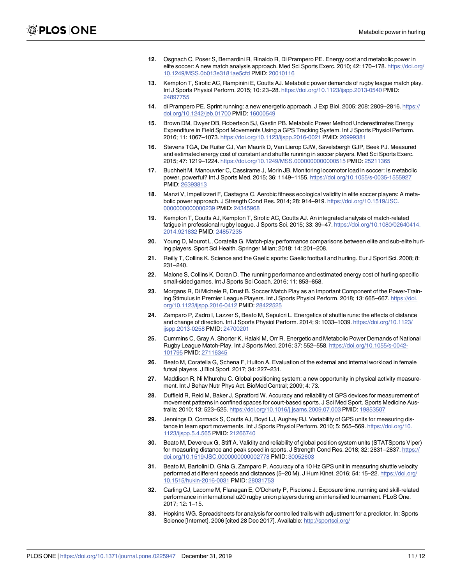- <span id="page-12-0"></span>**[12](#page-3-0).** Osgnach C, Poser S, Bernardini R, Rinaldo R, Di Prampero PE. Energy cost and metabolic power in elite soccer: A new match analysis approach. Med Sci Sports Exerc. 2010; 42: 170–178. [https://doi.org/](https://doi.org/10.1249/MSS.0b013e3181ae5cfd) [10.1249/MSS.0b013e3181ae5cfd](https://doi.org/10.1249/MSS.0b013e3181ae5cfd) PMID: [20010116](http://www.ncbi.nlm.nih.gov/pubmed/20010116)
- **[13](#page-3-0).** Kempton T, Sirotic AC, Rampinini E, Coutts AJ. Metabolic power demands of rugby league match play. Int J Sports Physiol Perform. 2015; 10: 23–28. <https://doi.org/10.1123/ijspp.2013-0540> PMID: [24897755](http://www.ncbi.nlm.nih.gov/pubmed/24897755)
- **[14](#page-3-0).** di Prampero PE. Sprint running: a new energetic approach. J Exp Biol. 2005; 208: 2809–2816. [https://](https://doi.org/10.1242/jeb.01700) [doi.org/10.1242/jeb.01700](https://doi.org/10.1242/jeb.01700) PMID: [16000549](http://www.ncbi.nlm.nih.gov/pubmed/16000549)
- **[15](#page-3-0).** Brown DM, Dwyer DB, Robertson SJ, Gastin PB. Metabolic Power Method Underestimates Energy Expenditure in Field Sport Movements Using a GPS Tracking System. Int J Sports Physiol Perform. 2016; 11: 1067–1073. <https://doi.org/10.1123/ijspp.2016-0021> PMID: [26999381](http://www.ncbi.nlm.nih.gov/pubmed/26999381)
- **[16](#page-3-0).** Stevens TGA, De Ruiter CJ, Van Maurik D, Van Lierop CJW, Savelsbergh GJP, Beek PJ. Measured and estimated energy cost of constant and shuttle running in soccer players. Med Sci Sports Exerc. 2015; 47: 1219–1224. <https://doi.org/10.1249/MSS.0000000000000515> PMID: [25211365](http://www.ncbi.nlm.nih.gov/pubmed/25211365)
- **[17](#page-3-0).** Buchheit M, Manouvrier C, Cassirame J, Morin JB. Monitoring locomotor load in soccer: Is metabolic power, powerful? Int J Sports Med. 2015; 36: 1149–1155. <https://doi.org/10.1055/s-0035-1555927> PMID: [26393813](http://www.ncbi.nlm.nih.gov/pubmed/26393813)
- **[18](#page-3-0).** Manzi V, Impellizzeri F, Castagna C. Aerobic fitness ecological validity in elite soccer players: A metabolic power approach. J Strength Cond Res. 2014; 28: 914–919. [https://doi.org/10.1519/JSC.](https://doi.org/10.1519/JSC.0000000000000239) [0000000000000239](https://doi.org/10.1519/JSC.0000000000000239) PMID: [24345968](http://www.ncbi.nlm.nih.gov/pubmed/24345968)
- **[19](#page-3-0).** Kempton T, Coutts AJ, Kempton T, Sirotic AC, Coutts AJ. An integrated analysis of match-related fatigue in professional rugby league. J Sports Sci. 2015; 33: 39–47. [https://doi.org/10.1080/02640414.](https://doi.org/10.1080/02640414.2014.921832) [2014.921832](https://doi.org/10.1080/02640414.2014.921832) PMID: [24857235](http://www.ncbi.nlm.nih.gov/pubmed/24857235)
- **[20](#page-3-0).** Young D, Mourot L, Coratella G. Match-play performance comparisons between elite and sub-elite hurling players. Sport Sci Health. Springer Milan; 2018; 14: 201–208.
- **[21](#page-3-0).** Reilly T, Collins K. Science and the Gaelic sports: Gaelic football and hurling. Eur J Sport Sci. 2008; 8: 231–240.
- **[22](#page-4-0).** Malone S, Collins K, Doran D. The running performance and estimated energy cost of hurling specific small-sided games. Int J Sports Sci Coach. 2016; 11: 853–858.
- **[23](#page-4-0).** Morgans R, Di Michele R, Drust B. Soccer Match Play as an Important Component of the Power-Training Stimulus in Premier League Players. Int J Sports Physiol Perform. 2018; 13: 665–667. [https://doi.](https://doi.org/10.1123/ijspp.2016-0412) [org/10.1123/ijspp.2016-0412](https://doi.org/10.1123/ijspp.2016-0412) PMID: [28422525](http://www.ncbi.nlm.nih.gov/pubmed/28422525)
- **[24](#page-4-0).** Zamparo P, Zadro I, Lazzer S, Beato M, Sepulcri L. Energetics of shuttle runs: the effects of distance and change of direction. Int J Sports Physiol Perform. 2014; 9: 1033–1039. [https://doi.org/10.1123/](https://doi.org/10.1123/ijspp.2013-0258) [ijspp.2013-0258](https://doi.org/10.1123/ijspp.2013-0258) PMID: [24700201](http://www.ncbi.nlm.nih.gov/pubmed/24700201)
- **[25](#page-4-0).** Cummins C, Gray A, Shorter K, Halaki M, Orr R. Energetic and Metabolic Power Demands of National Rugby League Match-Play. Int J Sports Med. 2016; 37: 552–558. [https://doi.org/10.1055/s-0042-](https://doi.org/10.1055/s-0042-101795) [101795](https://doi.org/10.1055/s-0042-101795) PMID: [27116345](http://www.ncbi.nlm.nih.gov/pubmed/27116345)
- **[26](#page-4-0).** Beato M, Coratella G, Schena F, Hulton A. Evaluation of the external and internal workload in female futsal players. J Biol Sport. 2017; 34: 227–231.
- **[27](#page-4-0).** Maddison R, Ni Mhurchu C. Global positioning system: a new opportunity in physical activity measurement. Int J Behav Nutr Phys Act. BioMed Central; 2009; 4: 73.
- **[28](#page-5-0).** Duffield R, Reid M, Baker J, Spratford W. Accuracy and reliability of GPS devices for measurement of movement patterns in confined spaces for court-based sports. J Sci Med Sport. Sports Medicine Australia; 2010; 13: 523–525. <https://doi.org/10.1016/j.jsams.2009.07.003> PMID: [19853507](http://www.ncbi.nlm.nih.gov/pubmed/19853507)
- **29.** Jennings D, Cormack S, Coutts AJ, Boyd LJ, Aughey RJ. Variability of GPS units for measuring distance in team sport movements. Int J Sports Physiol Perform. 2010; 5: 565–569. [https://doi.org/10.](https://doi.org/10.1123/ijspp.5.4.565) [1123/ijspp.5.4.565](https://doi.org/10.1123/ijspp.5.4.565) PMID: [21266740](http://www.ncbi.nlm.nih.gov/pubmed/21266740)
- **[30](#page-5-0).** Beato M, Devereux G, Stiff A. Validity and reliability of global position system units (STATSports Viper) for measuring distance and peak speed in sports. J Strength Cond Res. 2018; 32: 2831–2837. [https://](https://doi.org/10.1519/JSC.0000000000002778) [doi.org/10.1519/JSC.0000000000002778](https://doi.org/10.1519/JSC.0000000000002778) PMID: [30052603](http://www.ncbi.nlm.nih.gov/pubmed/30052603)
- **[31](#page-5-0).** Beato M, Bartolini D, Ghia G, Zamparo P. Accuracy of a 10 Hz GPS unit in measuring shuttle velocity performed at different speeds and distances (5–20 M). J Hum Kinet. 2016; 54: 15–22. [https://doi.org/](https://doi.org/10.1515/hukin-2016-0031) [10.1515/hukin-2016-0031](https://doi.org/10.1515/hukin-2016-0031) PMID: [28031753](http://www.ncbi.nlm.nih.gov/pubmed/28031753)
- **[32](#page-5-0).** Carling CJ, Lacome M, Flanagan E, O'Doherty P, Piscione J. Exposure time, running and skill-related performance in international u20 rugby union players during an intensified tournament. PLoS One. 2017; 12: 1–15.
- **[33](#page-6-0).** Hopkins WG. Spreadsheets for analysis for controlled trails with adjustment for a predictor. In: Sports Science [Internet]. 2006 [cited 28 Dec 2017]. Available: <http://sportsci.org/>